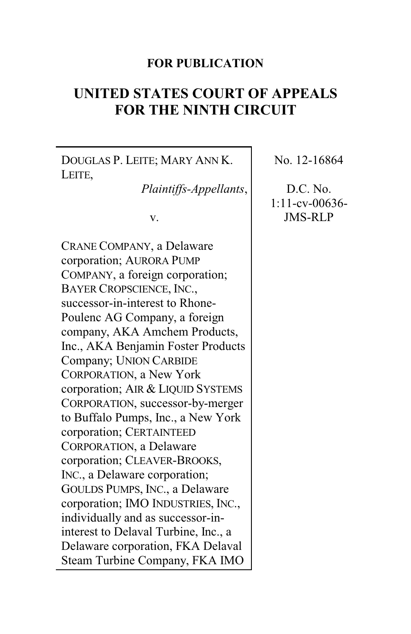#### **FOR PUBLICATION**

# **UNITED STATES COURT OF APPEALS FOR THE NINTH CIRCUIT**

DOUGLAS P. LEITE; MARY ANN K. LEITE,

*Plaintiffs-Appellants*,

v.

CRANE COMPANY, a Delaware corporation; AURORA PUMP COMPANY, a foreign corporation; BAYER CROPSCIENCE, INC., successor-in-interest to Rhone-Poulenc AG Company, a foreign company, AKA Amchem Products, Inc., AKA Benjamin Foster Products Company; UNION CARBIDE CORPORATION, a New York corporation; AIR & LIQUID SYSTEMS CORPORATION, successor-by-merger to Buffalo Pumps, Inc., a New York corporation; CERTAINTEED CORPORATION, a Delaware corporation; CLEAVER-BROOKS, INC., a Delaware corporation; GOULDS PUMPS, INC., a Delaware corporation; IMO INDUSTRIES, INC., individually and as successor-ininterest to Delaval Turbine, Inc., a Delaware corporation, FKA Delaval Steam Turbine Company, FKA IMO

No. 12-16864

D.C. No. 1:11-cv-00636- JMS-RLP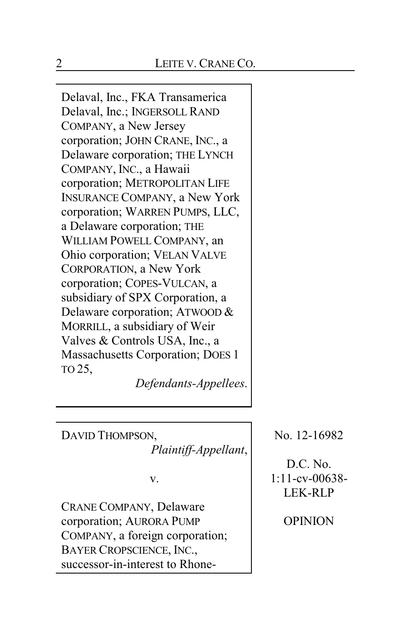Delaval, Inc., FKA Transamerica Delaval, Inc.; INGERSOLL RAND COMPANY, a New Jersey corporation; JOHN CRANE, INC., a Delaware corporation; THE LYNCH COMPANY, INC., a Hawaii corporation; METROPOLITAN LIFE INSURANCE COMPANY, a New York corporation; WARREN PUMPS, LLC, a Delaware corporation; THE WILLIAM POWELL COMPANY, an Ohio corporation; VELAN VALVE CORPORATION, a New York corporation; COPES-VULCAN, a subsidiary of SPX Corporation, a Delaware corporation; ATWOOD & MORRILL, a subsidiary of Weir Valves & Controls USA, Inc., a Massachusetts Corporation; DOES 1 TO 25,

*Defendants-Appellees*.

DAVID THOMPSON,

*Plaintiff-Appellant*,

v.

CRANE COMPANY, Delaware corporation; AURORA PUMP COMPANY, a foreign corporation; BAYER CROPSCIENCE, INC., successor-in-interest to RhoneNo. 12-16982

D.C. No. 1:11-cv-00638- LEK-RLP

OPINION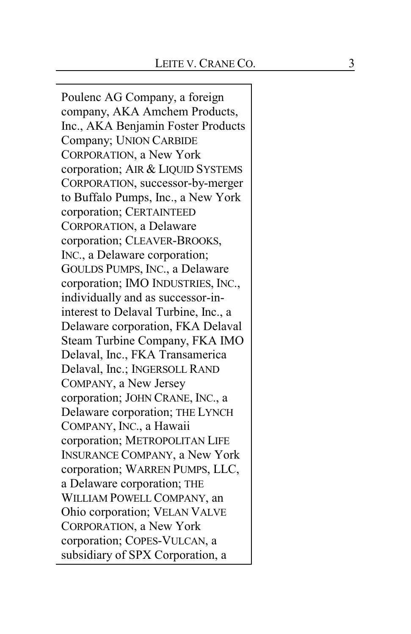Poulenc AG Company, a foreig n company, AKA Amchem Products, Inc., AKA Benjamin Foster Products Company; UNION CARBIDE CORPORATION, a New York corporation; AIR & LIQUID SYSTEMS C O RP O RA T I O N, successor-by-merger to Buffalo Pumps, I nc., a New York corporation; CERTAINTEED CORPORATION, a Delaware corporation; CLEAVER-BROOKS, IN C., a Delaware corporation; G O U L D S P U M P S , IN C., a Delaware corporation; IMO INDUSTRIES, INC., individually and as successor-ininterest to Delaval Turbine, Inc., a Delaware corporation, FKA Delaval Steam Turbine Company , FKA IMO Delaval, Inc., FKA Transamerica Delaval, Inc.; INGERSOLL RAND C O M P ANY, a New Jersey corporation; JOHN CRANE, INC., a Delaware corporation; THE LYNCH COMPANY, INC., a Hawaii corporation; METROPOLITAN LIFE INSURANCE COMPANY, a New York corporation; WARREN PUMPS, LLC, a Delaware corporation; T H E WILLIAM POWELL COMPANY, an Ohio corporation; VELAN VALVE CORPORATION, a New York corporation; COPES-VULCAN, a subsidiary of SPX Corporation, a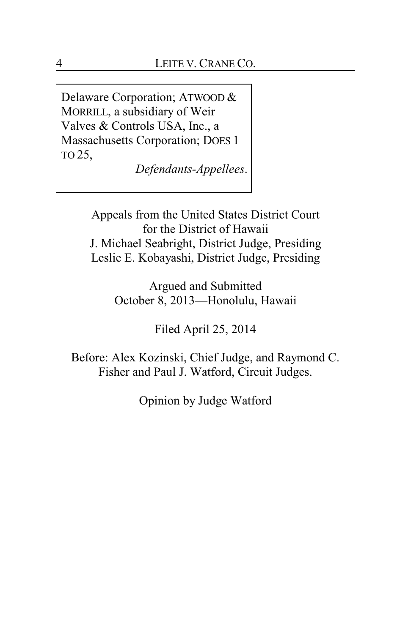Delaware Corporation; ATWOOD & MORRILL, a subsidiary of Weir Valves & Controls USA, Inc., a Massachusetts Corporation; DOES 1 TO 25,

*Defendants-Appellees*.

Appeals from the United States District Court for the District of Hawaii J. Michael Seabright, District Judge, Presiding Leslie E. Kobayashi, District Judge, Presiding

> Argued and Submitted October 8, 2013—Honolulu, Hawaii

> > Filed April 25, 2014

Before: Alex Kozinski, Chief Judge, and Raymond C. Fisher and Paul J. Watford, Circuit Judges.

Opinion by Judge Watford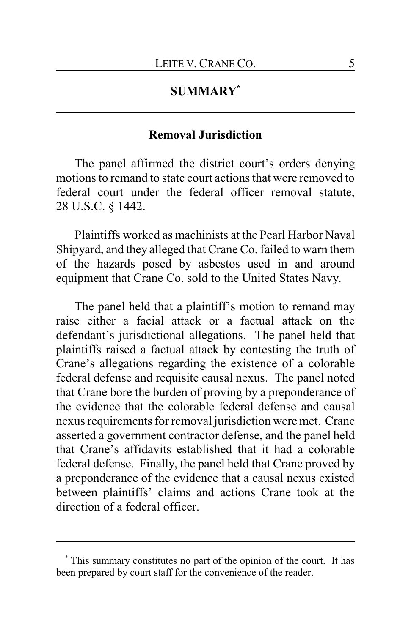# **SUMMARY\***

# **Removal Jurisdiction**

The panel affirmed the district court's orders denying motions to remand to state court actions that were removed to federal court under the federal officer removal statute, 28 U.S.C. § 1442.

Plaintiffs worked as machinists at the Pearl Harbor Naval Shipyard, and they alleged that Crane Co. failed to warn them of the hazards posed by asbestos used in and around equipment that Crane Co. sold to the United States Navy.

The panel held that a plaintiff's motion to remand may raise either a facial attack or a factual attack on the defendant's jurisdictional allegations. The panel held that plaintiffs raised a factual attack by contesting the truth of Crane's allegations regarding the existence of a colorable federal defense and requisite causal nexus. The panel noted that Crane bore the burden of proving by a preponderance of the evidence that the colorable federal defense and causal nexus requirements for removal jurisdiction were met. Crane asserted a government contractor defense, and the panel held that Crane's affidavits established that it had a colorable federal defense. Finally, the panel held that Crane proved by a preponderance of the evidence that a causal nexus existed between plaintiffs' claims and actions Crane took at the direction of a federal officer.

<sup>\*</sup> This summary constitutes no part of the opinion of the court. It has been prepared by court staff for the convenience of the reader.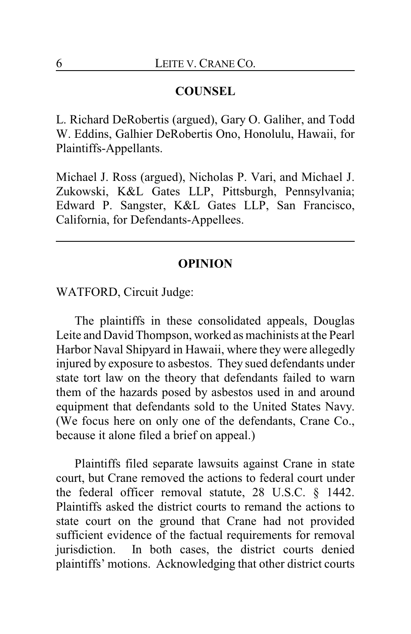## **COUNSEL**

L. Richard DeRobertis (argued), Gary O. Galiher, and Todd W. Eddins, Galhier DeRobertis Ono, Honolulu, Hawaii, for Plaintiffs-Appellants.

Michael J. Ross (argued), Nicholas P. Vari, and Michael J. Zukowski, K&L Gates LLP, Pittsburgh, Pennsylvania; Edward P. Sangster, K&L Gates LLP, San Francisco, California, for Defendants-Appellees.

#### **OPINION**

WATFORD, Circuit Judge:

The plaintiffs in these consolidated appeals, Douglas Leite and David Thompson, worked as machinists at the Pearl Harbor Naval Shipyard in Hawaii, where they were allegedly injured by exposure to asbestos. They sued defendants under state tort law on the theory that defendants failed to warn them of the hazards posed by asbestos used in and around equipment that defendants sold to the United States Navy. (We focus here on only one of the defendants, Crane Co., because it alone filed a brief on appeal.)

Plaintiffs filed separate lawsuits against Crane in state court, but Crane removed the actions to federal court under the federal officer removal statute, 28 U.S.C. § 1442. Plaintiffs asked the district courts to remand the actions to state court on the ground that Crane had not provided sufficient evidence of the factual requirements for removal jurisdiction. In both cases, the district courts denied plaintiffs' motions. Acknowledging that other district courts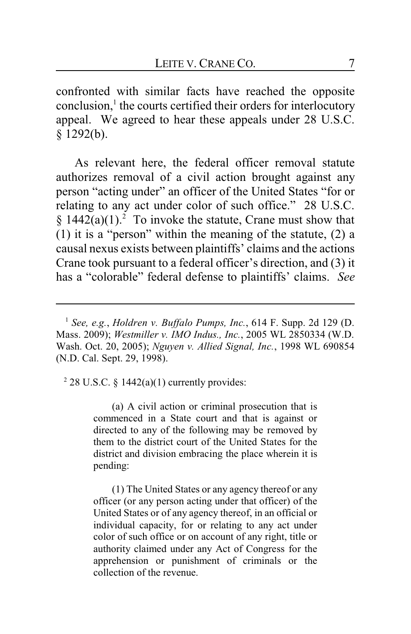confronted with similar facts have reached the opposite conclusion,<sup>1</sup> the courts certified their orders for interlocutory appeal. We agreed to hear these appeals under 28 U.S.C. § 1292(b).

As relevant here, the federal officer removal statute authorizes removal of a civil action brought against any person "acting under" an officer of the United States "for or relating to any act under color of such office." 28 U.S.C.  $§$  1442(a)(1).<sup>2</sup> To invoke the statute, Crane must show that (1) it is a "person" within the meaning of the statute, (2) a causal nexus exists between plaintiffs' claims and the actions Crane took pursuant to a federal officer's direction, and (3) it has a "colorable" federal defense to plaintiffs' claims. *See*

 $2$  28 U.S.C. § 1442(a)(1) currently provides:

(a) A civil action or criminal prosecution that is commenced in a State court and that is against or directed to any of the following may be removed by them to the district court of the United States for the district and division embracing the place wherein it is pending:

(1) The United States or any agency thereof or any officer (or any person acting under that officer) of the United States or of any agency thereof, in an official or individual capacity, for or relating to any act under color of such office or on account of any right, title or authority claimed under any Act of Congress for the apprehension or punishment of criminals or the collection of the revenue.

<sup>1</sup> *See, e.g.*, *Holdren v. Buffalo Pumps, Inc.*, 614 F. Supp. 2d 129 (D. Mass. 2009); *Westmiller v. IMO Indus., Inc.*, 2005 WL 2850334 (W.D. Wash. Oct. 20, 2005); *Nguyen v. Allied Signal, Inc.*, 1998 WL 690854 (N.D. Cal. Sept. 29, 1998).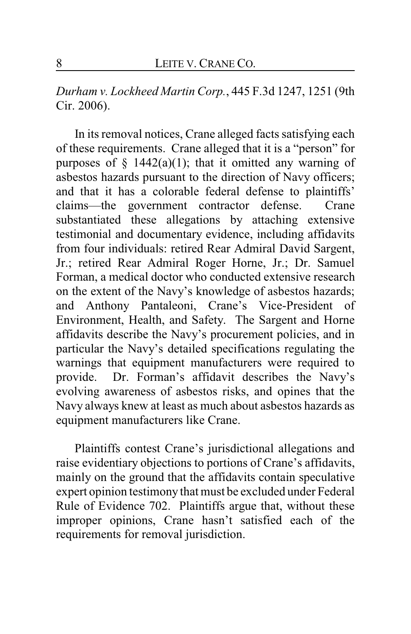*Durham v. Lockheed Martin Corp.*, 445 F.3d 1247, 1251 (9th Cir. 2006).

In its removal notices, Crane alleged facts satisfying each of these requirements. Crane alleged that it is a "person" for purposes of  $\S$  1442(a)(1); that it omitted any warning of asbestos hazards pursuant to the direction of Navy officers; and that it has a colorable federal defense to plaintiffs' claims—the government contractor defense. Crane substantiated these allegations by attaching extensive testimonial and documentary evidence, including affidavits from four individuals: retired Rear Admiral David Sargent, Jr.; retired Rear Admiral Roger Horne, Jr.; Dr. Samuel Forman, a medical doctor who conducted extensive research on the extent of the Navy's knowledge of asbestos hazards; and Anthony Pantaleoni, Crane's Vice-President of Environment, Health, and Safety. The Sargent and Horne affidavits describe the Navy's procurement policies, and in particular the Navy's detailed specifications regulating the warnings that equipment manufacturers were required to provide. Dr. Forman's affidavit describes the Navy's evolving awareness of asbestos risks, and opines that the Navy always knew at least as much about asbestos hazards as equipment manufacturers like Crane.

Plaintiffs contest Crane's jurisdictional allegations and raise evidentiary objections to portions of Crane's affidavits, mainly on the ground that the affidavits contain speculative expert opinion testimony that must be excluded under Federal Rule of Evidence 702. Plaintiffs argue that, without these improper opinions, Crane hasn't satisfied each of the requirements for removal jurisdiction.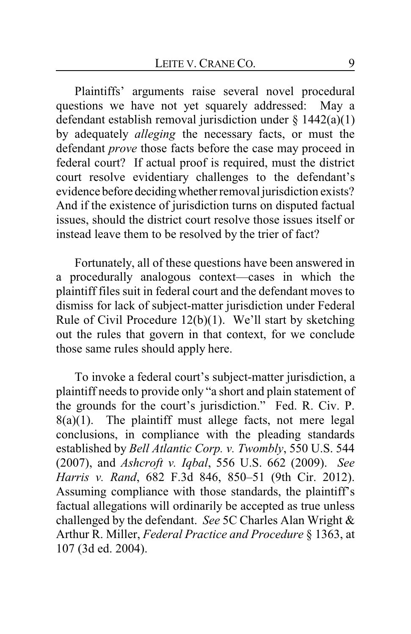Plaintiffs' arguments raise several novel procedural questions we have not yet squarely addressed: May a defendant establish removal jurisdiction under  $\S$  1442(a)(1) by adequately *alleging* the necessary facts, or must the defendant *prove* those facts before the case may proceed in federal court? If actual proof is required, must the district court resolve evidentiary challenges to the defendant's evidence before deciding whether removal jurisdiction exists? And if the existence of jurisdiction turns on disputed factual issues, should the district court resolve those issues itself or instead leave them to be resolved by the trier of fact?

Fortunately, all of these questions have been answered in a procedurally analogous context—cases in which the plaintiff files suit in federal court and the defendant moves to dismiss for lack of subject-matter jurisdiction under Federal Rule of Civil Procedure 12(b)(1). We'll start by sketching out the rules that govern in that context, for we conclude those same rules should apply here.

To invoke a federal court's subject-matter jurisdiction, a plaintiff needs to provide only "a short and plain statement of the grounds for the court's jurisdiction." Fed. R. Civ. P.  $8(a)(1)$ . The plaintiff must allege facts, not mere legal conclusions, in compliance with the pleading standards established by *Bell Atlantic Corp. v. Twombly*, 550 U.S. 544 (2007), and *Ashcroft v. Iqbal*, 556 U.S. 662 (2009). *See Harris v. Rand*, 682 F.3d 846, 850–51 (9th Cir. 2012). Assuming compliance with those standards, the plaintiff's factual allegations will ordinarily be accepted as true unless challenged by the defendant. *See* 5C Charles Alan Wright & Arthur R. Miller, *Federal Practice and Procedure* § 1363, at 107 (3d ed. 2004).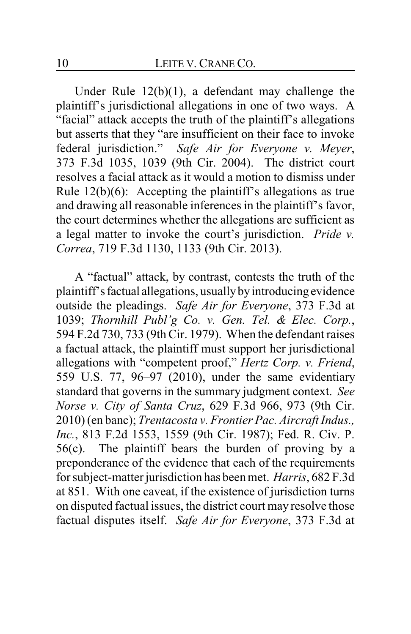Under Rule 12(b)(1), a defendant may challenge the plaintiff's jurisdictional allegations in one of two ways. A "facial" attack accepts the truth of the plaintiff's allegations but asserts that they "are insufficient on their face to invoke federal jurisdiction." *Safe Air for Everyone v. Meyer*, 373 F.3d 1035, 1039 (9th Cir. 2004). The district court resolves a facial attack as it would a motion to dismiss under Rule 12(b)(6): Accepting the plaintiff's allegations as true and drawing all reasonable inferences in the plaintiff's favor, the court determines whether the allegations are sufficient as a legal matter to invoke the court's jurisdiction. *Pride v. Correa*, 719 F.3d 1130, 1133 (9th Cir. 2013).

A "factual" attack, by contrast, contests the truth of the plaintiff's factual allegations, usually by introducing evidence outside the pleadings. *Safe Air for Everyone*, 373 F.3d at 1039; *Thornhill Publ'g Co. v. Gen. Tel. & Elec. Corp.*, 594 F.2d 730, 733 (9th Cir. 1979). When the defendant raises a factual attack, the plaintiff must support her jurisdictional allegations with "competent proof," *Hertz Corp. v. Friend*, 559 U.S. 77, 96–97 (2010), under the same evidentiary standard that governs in the summary judgment context. *See Norse v. City of Santa Cruz*, 629 F.3d 966, 973 (9th Cir. 2010) (en banc); *Trentacosta v. Frontier Pac. Aircraft Indus., Inc.*, 813 F.2d 1553, 1559 (9th Cir. 1987); Fed. R. Civ. P. 56(c). The plaintiff bears the burden of proving by a preponderance of the evidence that each of the requirements for subject-matter jurisdiction has been met. *Harris*, 682 F.3d at 851. With one caveat, if the existence of jurisdiction turns on disputed factual issues, the district court may resolve those factual disputes itself. *Safe Air for Everyone*, 373 F.3d at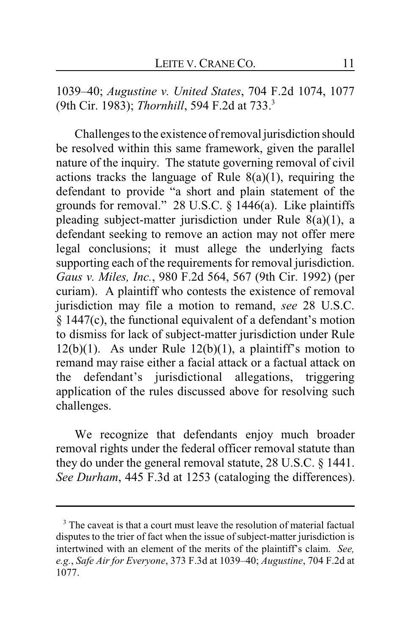1039–40; *Augustine v. United States*, 704 F.2d 1074, 1077 (9th Cir. 1983); *Thornhill*, 594 F.2d at 733.<sup>3</sup>

Challenges to the existence of removal jurisdiction should be resolved within this same framework, given the parallel nature of the inquiry. The statute governing removal of civil actions tracks the language of Rule  $8(a)(1)$ , requiring the defendant to provide "a short and plain statement of the grounds for removal." 28 U.S.C. § 1446(a). Like plaintiffs pleading subject-matter jurisdiction under Rule 8(a)(1), a defendant seeking to remove an action may not offer mere legal conclusions; it must allege the underlying facts supporting each of the requirements for removal jurisdiction. *Gaus v. Miles, Inc.*, 980 F.2d 564, 567 (9th Cir. 1992) (per curiam). A plaintiff who contests the existence of removal jurisdiction may file a motion to remand, *see* 28 U.S.C. § 1447(c), the functional equivalent of a defendant's motion to dismiss for lack of subject-matter jurisdiction under Rule  $12(b)(1)$ . As under Rule  $12(b)(1)$ , a plaintiff's motion to remand may raise either a facial attack or a factual attack on the defendant's jurisdictional allegations, triggering application of the rules discussed above for resolving such challenges.

We recognize that defendants enjoy much broader removal rights under the federal officer removal statute than they do under the general removal statute, 28 U.S.C. § 1441. *See Durham*, 445 F.3d at 1253 (cataloging the differences).

<sup>&</sup>lt;sup>3</sup> The caveat is that a court must leave the resolution of material factual disputes to the trier of fact when the issue of subject-matter jurisdiction is intertwined with an element of the merits of the plaintiff's claim. *See, e.g.*, *Safe Air for Everyone*, 373 F.3d at 1039–40; *Augustine*, 704 F.2d at 1077.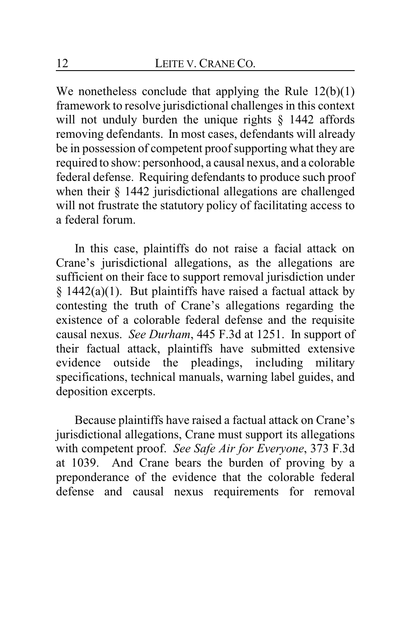We nonetheless conclude that applying the Rule  $12(b)(1)$ framework to resolve jurisdictional challenges in this context will not unduly burden the unique rights § 1442 affords removing defendants. In most cases, defendants will already be in possession of competent proof supporting what they are required to show: personhood, a causal nexus, and a colorable federal defense. Requiring defendants to produce such proof when their § 1442 jurisdictional allegations are challenged will not frustrate the statutory policy of facilitating access to a federal forum.

In this case, plaintiffs do not raise a facial attack on Crane's jurisdictional allegations, as the allegations are sufficient on their face to support removal jurisdiction under  $§$  1442(a)(1). But plaintiffs have raised a factual attack by contesting the truth of Crane's allegations regarding the existence of a colorable federal defense and the requisite causal nexus. *See Durham*, 445 F.3d at 1251. In support of their factual attack, plaintiffs have submitted extensive evidence outside the pleadings, including military specifications, technical manuals, warning label guides, and deposition excerpts.

Because plaintiffs have raised a factual attack on Crane's jurisdictional allegations, Crane must support its allegations with competent proof. *See Safe Air for Everyone*, 373 F.3d at 1039. And Crane bears the burden of proving by a preponderance of the evidence that the colorable federal defense and causal nexus requirements for removal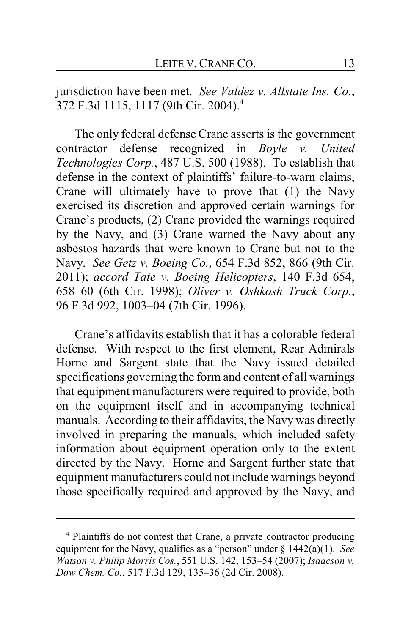jurisdiction have been met. *See Valdez v. Allstate Ins. Co.*, 372 F.3d 1115, 1117 (9th Cir. 2004).<sup>4</sup>

The only federal defense Crane asserts is the government contractor defense recognized in *Boyle v. United Technologies Corp.*, 487 U.S. 500 (1988). To establish that defense in the context of plaintiffs' failure-to-warn claims, Crane will ultimately have to prove that (1) the Navy exercised its discretion and approved certain warnings for Crane's products, (2) Crane provided the warnings required by the Navy, and (3) Crane warned the Navy about any asbestos hazards that were known to Crane but not to the Navy. *See Getz v. Boeing Co.*, 654 F.3d 852, 866 (9th Cir. 2011); *accord Tate v. Boeing Helicopters*, 140 F.3d 654, 658–60 (6th Cir. 1998); *Oliver v. Oshkosh Truck Corp.*, 96 F.3d 992, 1003–04 (7th Cir. 1996).

Crane's affidavits establish that it has a colorable federal defense. With respect to the first element, Rear Admirals Horne and Sargent state that the Navy issued detailed specifications governing the form and content of all warnings that equipment manufacturers were required to provide, both on the equipment itself and in accompanying technical manuals. According to their affidavits, the Navy was directly involved in preparing the manuals, which included safety information about equipment operation only to the extent directed by the Navy. Horne and Sargent further state that equipment manufacturers could not include warnings beyond those specifically required and approved by the Navy, and

<sup>4</sup> Plaintiffs do not contest that Crane, a private contractor producing equipment for the Navy, qualifies as a "person" under § 1442(a)(1). *See Watson v. Philip Morris Cos.*, 551 U.S. 142, 153–54 (2007); *Isaacson v. Dow Chem. Co.*, 517 F.3d 129, 135–36 (2d Cir. 2008).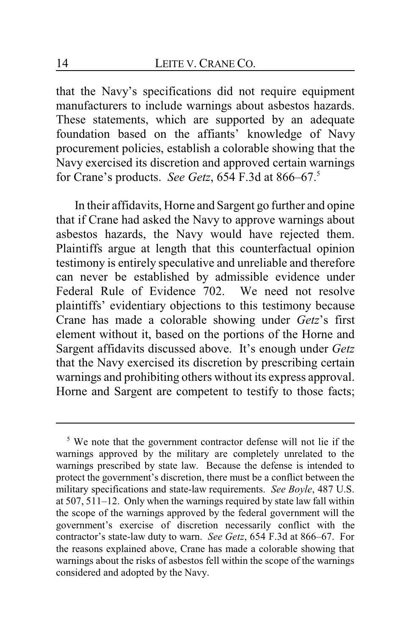that the Navy's specifications did not require equipment manufacturers to include warnings about asbestos hazards. These statements, which are supported by an adequate foundation based on the affiants' knowledge of Navy procurement policies, establish a colorable showing that the Navy exercised its discretion and approved certain warnings for Crane's products. *See Getz*, 654 F.3d at 866–67.<sup>5</sup>

In their affidavits, Horne and Sargent go further and opine that if Crane had asked the Navy to approve warnings about asbestos hazards, the Navy would have rejected them. Plaintiffs argue at length that this counterfactual opinion testimony is entirely speculative and unreliable and therefore can never be established by admissible evidence under Federal Rule of Evidence 702. We need not resolve plaintiffs' evidentiary objections to this testimony because Crane has made a colorable showing under *Getz*'s first element without it, based on the portions of the Horne and Sargent affidavits discussed above. It's enough under *Getz* that the Navy exercised its discretion by prescribing certain warnings and prohibiting others without its express approval. Horne and Sargent are competent to testify to those facts;

<sup>&</sup>lt;sup>5</sup> We note that the government contractor defense will not lie if the warnings approved by the military are completely unrelated to the warnings prescribed by state law. Because the defense is intended to protect the government's discretion, there must be a conflict between the military specifications and state-law requirements. *See Boyle*, 487 U.S. at 507, 511–12. Only when the warnings required by state law fall within the scope of the warnings approved by the federal government will the government's exercise of discretion necessarily conflict with the contractor's state-law duty to warn. *See Getz*, 654 F.3d at 866–67. For the reasons explained above, Crane has made a colorable showing that warnings about the risks of asbestos fell within the scope of the warnings considered and adopted by the Navy.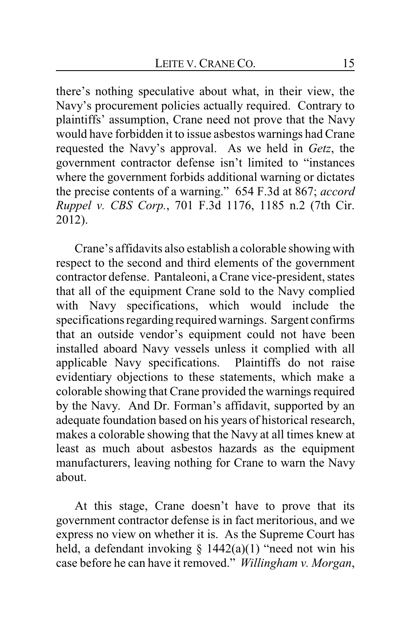there's nothing speculative about what, in their view, the Navy's procurement policies actually required. Contrary to plaintiffs' assumption, Crane need not prove that the Navy would have forbidden it to issue asbestos warnings had Crane requested the Navy's approval. As we held in *Getz*, the government contractor defense isn't limited to "instances where the government forbids additional warning or dictates the precise contents of a warning." 654 F.3d at 867; *accord Ruppel v. CBS Corp.*, 701 F.3d 1176, 1185 n.2 (7th Cir. 2012).

Crane's affidavits also establish a colorable showing with respect to the second and third elements of the government contractor defense. Pantaleoni, a Crane vice-president, states that all of the equipment Crane sold to the Navy complied with Navy specifications, which would include the specifications regarding required warnings. Sargent confirms that an outside vendor's equipment could not have been installed aboard Navy vessels unless it complied with all applicable Navy specifications. Plaintiffs do not raise evidentiary objections to these statements, which make a colorable showing that Crane provided the warnings required by the Navy. And Dr. Forman's affidavit, supported by an adequate foundation based on his years of historical research, makes a colorable showing that the Navy at all times knew at least as much about asbestos hazards as the equipment manufacturers, leaving nothing for Crane to warn the Navy about.

At this stage, Crane doesn't have to prove that its government contractor defense is in fact meritorious, and we express no view on whether it is. As the Supreme Court has held, a defendant invoking  $\S$  1442(a)(1) "need not win his case before he can have it removed." *Willingham v. Morgan*,